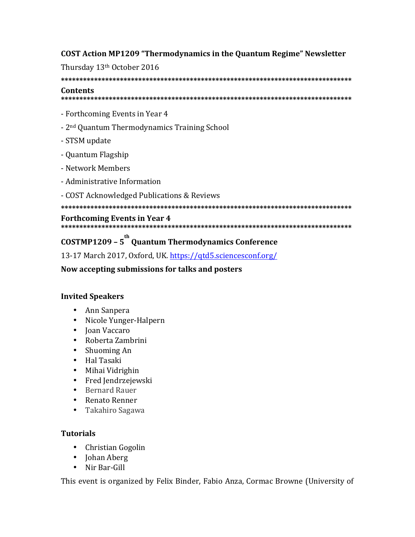# **COST Action MP1209 "Thermodynamics in the Quantum Regime" Newsletter**

Thursday 13th October 2016

**\*\*\*\*\*\*\*\*\*\*\*\*\*\*\*\*\*\*\*\*\*\*\*\*\*\*\*\*\*\*\*\*\*\*\*\*\*\*\*\*\*\*\*\*\*\*\*\*\*\*\*\*\*\*\*\*\*\*\*\*\*\*\*\*\*\*\*\*\*\*\*\*\*\*\*\*\*\*\* Contents** 

**\*\*\*\*\*\*\*\*\*\*\*\*\*\*\*\*\*\*\*\*\*\*\*\*\*\*\*\*\*\*\*\*\*\*\*\*\*\*\*\*\*\*\*\*\*\*\*\*\*\*\*\*\*\*\*\*\*\*\*\*\*\*\*\*\*\*\*\*\*\*\*\*\*\*\*\*\*\*\***

- Forthcoming Events in Year 4
- 2<sup>nd</sup> Quantum Thermodynamics Training School
- STSM update
- Quantum Flagship
- Network Members
- Administrative Information
- COST Acknowledged Publications & Reviews

**\*\*\*\*\*\*\*\*\*\*\*\*\*\*\*\*\*\*\*\*\*\*\*\*\*\*\*\*\*\*\*\*\*\*\*\*\*\*\*\*\*\*\*\*\*\*\*\*\*\*\*\*\*\*\*\*\*\*\*\*\*\*\*\*\*\*\*\*\*\*\*\*\*\*\*\*\*\*\***

### **Forthcoming Events in Year 4**

#### **\*\*\*\*\*\*\*\*\*\*\*\*\*\*\*\*\*\*\*\*\*\*\*\*\*\*\*\*\*\*\*\*\*\*\*\*\*\*\*\*\*\*\*\*\*\*\*\*\*\*\*\*\*\*\*\*\*\*\*\*\*\*\*\*\*\*\*\*\*\*\*\*\*\*\*\*\*\*\***

# **COSTMP1209 – 5 th Quantum Thermodynamics Conference**

13-17 March 2017, Oxford, UK. https://qtd5.sciencesconf.org/

**Now accepting submissions for talks and posters**

# **Invited Speakers**

- Ann Sanpera
- Nicole Yunger-Halpern
- Joan Vaccaro
- Roberta Zambrini
- Shuoming An
- Hal Tasaki
- Mihai Vidrighin
- Fred Jendrzejewski
- Bernard Rauer
- Renato Renner
- Takahiro Sagawa

# **Tutorials**

- Christian Gogolin
- Johan Aberg
- Nir Bar-Gill

This event is organized by Felix Binder, Fabio Anza, Cormac Browne (University of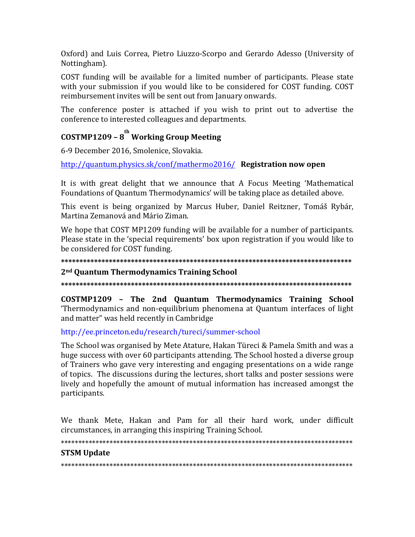Oxford) and Luis Correa, Pietro Liuzzo-Scorpo and Gerardo Adesso (University of Nottingham).

COST funding will be available for a limited number of participants. Please state with your submission if you would like to be considered for COST funding. COST reimbursement invites will be sent out from January onwards.

The conference poster is attached if you wish to print out to advertise the conference to interested colleagues and departments.

# COSTMP1209 -  $8^{\text{th}}$  Working Group Meeting

6-9 December 2016, Smolenice, Slovakia.

http://quantum.physics.sk/conf/mathermo2016/ Registration now open

It is with great delight that we announce that A Focus Meeting 'Mathematical Foundations of Quantum Thermodynamics' will be taking place as detailed above.

This event is being organized by Marcus Huber, Daniel Reitzner, Tomáš Rybár, Martina Zemanová and Mário Ziman.

We hope that COST MP1209 funding will be available for a number of participants. Please state in the 'special requirements' box upon registration if you would like to be considered for COST funding.

#### 

#### 2<sup>nd</sup> Quantum Thermodynamics Training School

COSTMP1209 - The 2nd Quantum Thermodynamics Training School 'Thermodynamics and non-equilibrium phenomena at Quantum interfaces of light and matter" was held recently in Cambridge

#### http://ee.princeton.edu/research/tureci/summer-school

The School was organised by Mete Atature, Hakan Türeci & Pamela Smith and was a huge success with over 60 participants attending. The School hosted a diverse group of Trainers who gave very interesting and engaging presentations on a wide range of topics. The discussions during the lectures, short talks and poster sessions were lively and hopefully the amount of mutual information has increased amongst the participants.

We thank Mete, Hakan and Pam for all their hard work, under difficult circumstances, in arranging this inspiring Training School.

#### **STSM Update**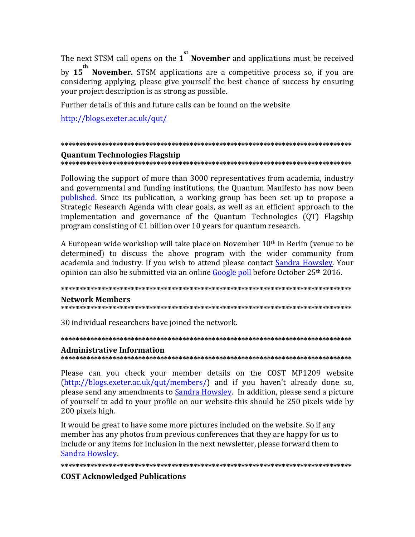The next STSM call opens on the 1<sup>st</sup> November and applications must be received

by 15<sup>th</sup> November. STSM applications are a competitive process so, if you are considering applying, please give yourself the best chance of success by ensuring your project description is as strong as possible.

Further details of this and future calls can be found on the website

http://blogs.exeter.ac.uk/qut/

#### **Ouantum Technologies Flagship**

Following the support of more than 3000 representatives from academia, industry and governmental and funding institutions, the Quantum Manifesto has now been published. Since its publication, a working group has been set up to propose a Strategic Research Agenda with clear goals, as well as an efficient approach to the implementation and governance of the Quantum Technologies (QT) Flagship program consisting of  $E1$  billion over 10 years for quantum research.

A European wide workshop will take place on November 10<sup>th</sup> in Berlin (venue to be determined) to discuss the above program with the wider community from academia and industry. If you wish to attend please contact Sandra Howsley. Your opinion can also be submitted via an online Google poll before October 25<sup>th</sup> 2016.

# **Network Members**

#### 

30 individual researchers have joined the network.

# **Administrative Information**

Please can you check your member details on the COST MP1209 website (http://blogs.exeter.ac.uk/qut/members/) and if you haven't already done so. please send any amendments to Sandra Howsley. In addition, please send a picture of yourself to add to your profile on our website-this should be 250 pixels wide by 200 pixels high.

It would be great to have some more pictures included on the website. So if any member has any photos from previous conferences that they are happy for us to include or any items for inclusion in the next newsletter, please forward them to Sandra Howsley.

#### **COST Acknowledged Publications**